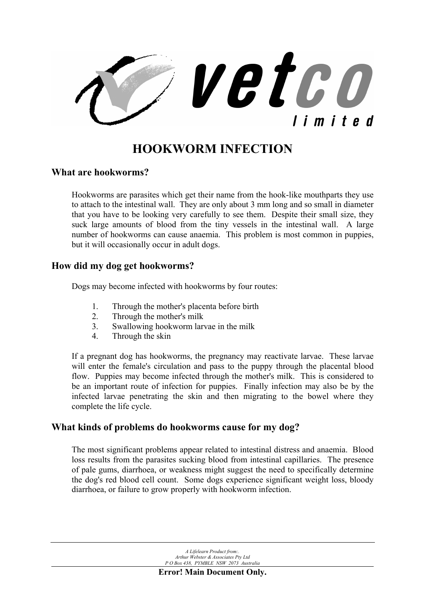

# **HOOKWORM INFECTION**

### **What are hookworms?**

Hookworms are parasites which get their name from the hook-like mouthparts they use to attach to the intestinal wall. They are only about 3 mm long and so small in diameter that you have to be looking very carefully to see them. Despite their small size, they suck large amounts of blood from the tiny vessels in the intestinal wall. A large number of hookworms can cause anaemia. This problem is most common in puppies, but it will occasionally occur in adult dogs.

### **How did my dog get hookworms?**

Dogs may become infected with hookworms by four routes:

- 1. Through the mother's placenta before birth
- 2. Through the mother's milk
- 3. Swallowing hookworm larvae in the milk
- 4. Through the skin

If a pregnant dog has hookworms, the pregnancy may reactivate larvae. These larvae will enter the female's circulation and pass to the puppy through the placental blood flow. Puppies may become infected through the mother's milk. This is considered to be an important route of infection for puppies. Finally infection may also be by the infected larvae penetrating the skin and then migrating to the bowel where they complete the life cycle.

### **What kinds of problems do hookworms cause for my dog?**

The most significant problems appear related to intestinal distress and anaemia. Blood loss results from the parasites sucking blood from intestinal capillaries. The presence of pale gums, diarrhoea, or weakness might suggest the need to specifically determine the dog's red blood cell count. Some dogs experience significant weight loss, bloody diarrhoea, or failure to grow properly with hookworm infection.

> *A Lifelearn Product from:. Arthur Webster & Associates Pty Ltd P O Box 438, PYMBLE NSW 2073 Australia*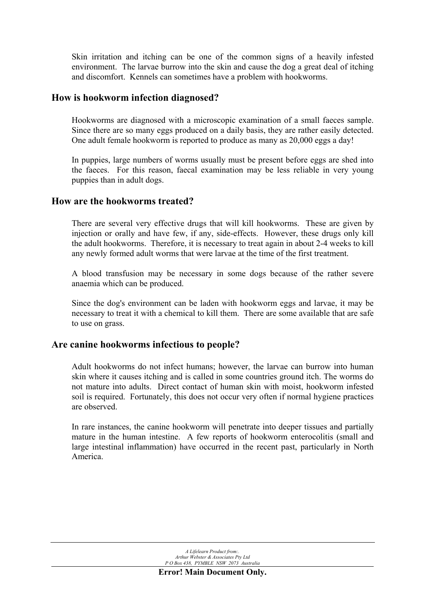Skin irritation and itching can be one of the common signs of a heavily infested environment. The larvae burrow into the skin and cause the dog a great deal of itching and discomfort. Kennels can sometimes have a problem with hookworms.

## **How is hookworm infection diagnosed?**

Hookworms are diagnosed with a microscopic examination of a small faeces sample. Since there are so many eggs produced on a daily basis, they are rather easily detected. One adult female hookworm is reported to produce as many as 20,000 eggs a day!

In puppies, large numbers of worms usually must be present before eggs are shed into the faeces. For this reason, faecal examination may be less reliable in very young puppies than in adult dogs.

## **How are the hookworms treated?**

There are several very effective drugs that will kill hookworms. These are given by injection or orally and have few, if any, side-effects. However, these drugs only kill the adult hookworms. Therefore, it is necessary to treat again in about 2-4 weeks to kill any newly formed adult worms that were larvae at the time of the first treatment.

A blood transfusion may be necessary in some dogs because of the rather severe anaemia which can be produced.

Since the dog's environment can be laden with hookworm eggs and larvae, it may be necessary to treat it with a chemical to kill them. There are some available that are safe to use on grass.

# **Are canine hookworms infectious to people?**

Adult hookworms do not infect humans; however, the larvae can burrow into human skin where it causes itching and is called in some countries ground itch. The worms do not mature into adults. Direct contact of human skin with moist, hookworm infested soil is required. Fortunately, this does not occur very often if normal hygiene practices are observed.

In rare instances, the canine hookworm will penetrate into deeper tissues and partially mature in the human intestine. A few reports of hookworm enterocolitis (small and large intestinal inflammation) have occurred in the recent past, particularly in North America.